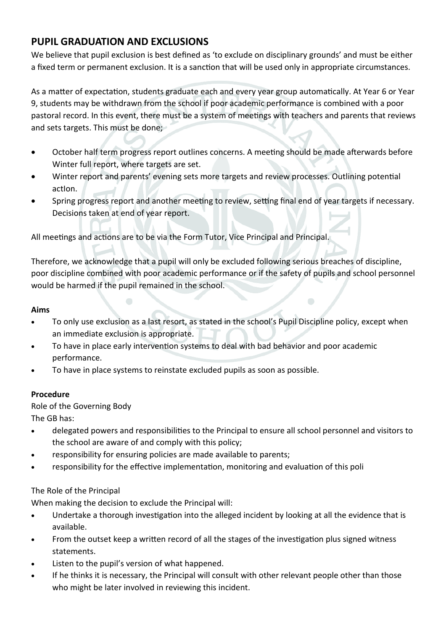## **PUPIL GRADUATION AND EXCLUSIONS**

We believe that pupil exclusion is best defined as 'to exclude on disciplinary grounds' and must be either a fixed term or permanent exclusion. It is a sanction that will be used only in appropriate circumstances.

As a matter of expectation, students graduate each and every year group automatically. At Year 6 or Year 9, students may be withdrawn from the school if poor academic performance is combined with a poor pastoral record. In this event, there must be a system of meetings with teachers and parents that reviews and sets targets. This must be done;

- October half term progress report outlines concerns. A meeting should be made afterwards before Winter full report, where targets are set.
- Winter report and parents' evening sets more targets and review processes. Outlining potential actIon.
- Spring progress report and another meeting to review, setting final end of year targets if necessary. Decisions taken at end of year report.

All meetings and actions are to be via the Form Tutor, Vice Principal and Principal.

Therefore, we acknowledge that a pupil will only be excluded following serious breaches of discipline, poor discipline combined with poor academic performance or if the safety of pupils and school personnel would be harmed if the pupil remained in the school.

## **Aims**

- To only use exclusion as a last resort, as stated in the school's Pupil Discipline policy, except when an immediate exclusion is appropriate.
- To have in place early intervention systems to deal with bad behavior and poor academic performance.
- To have in place systems to reinstate excluded pupils as soon as possible.

## **Procedure**

Role of the Governing Body

The GB has:

- delegated powers and responsibilities to the Principal to ensure all school personnel and visitors to the school are aware of and comply with this policy;
- responsibility for ensuring policies are made available to parents;
- responsibility for the effective implementation, monitoring and evaluation of this poli

## The Role of the Principal

When making the decision to exclude the Principal will:

- Undertake a thorough investigation into the alleged incident by looking at all the evidence that is available.
- From the outset keep a written record of all the stages of the investigation plus signed witness statements.
- Listen to the pupil's version of what happened.
- If he thinks it is necessary, the Principal will consult with other relevant people other than those who might be later involved in reviewing this incident.